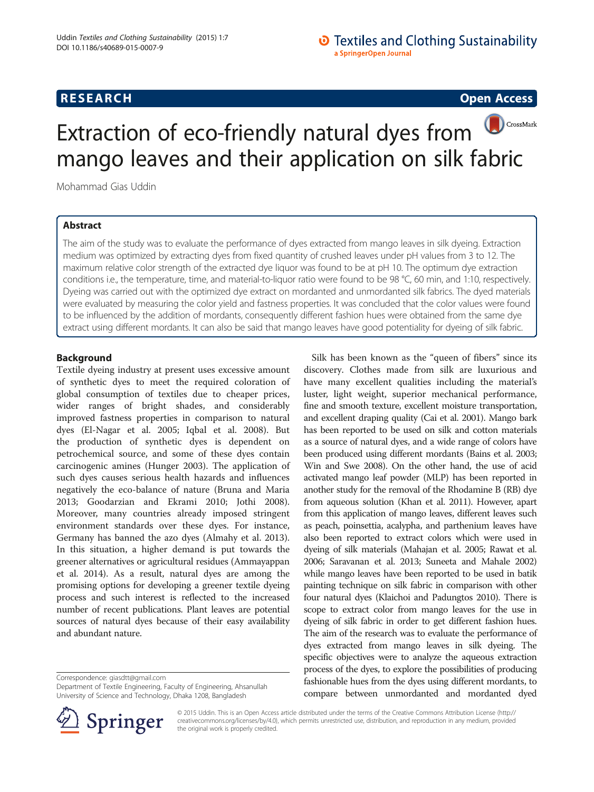## **RESEARCH CHINESE ARCH CHINESE ARCH CHINESE ARCH <b>CHINESE ARCH**

# CrossMark Extraction of eco-friendly natural dyes from mango leaves and their application on silk fabric

Mohammad Gias Uddin

## Abstract

The aim of the study was to evaluate the performance of dyes extracted from mango leaves in silk dyeing. Extraction medium was optimized by extracting dyes from fixed quantity of crushed leaves under pH values from 3 to 12. The maximum relative color strength of the extracted dye liquor was found to be at pH 10. The optimum dye extraction conditions i.e., the temperature, time, and material-to-liquor ratio were found to be 98 °C, 60 min, and 1:10, respectively. Dyeing was carried out with the optimized dye extract on mordanted and unmordanted silk fabrics. The dyed materials were evaluated by measuring the color yield and fastness properties. It was concluded that the color values were found to be influenced by the addition of mordants, consequently different fashion hues were obtained from the same dye extract using different mordants. It can also be said that mango leaves have good potentiality for dyeing of silk fabric.

## Background

Textile dyeing industry at present uses excessive amount of synthetic dyes to meet the required coloration of global consumption of textiles due to cheaper prices, wider ranges of bright shades, and considerably improved fastness properties in comparison to natural dyes (El-Nagar et al. [2005;](#page-6-0) Iqbal et al. [2008](#page-7-0)). But the production of synthetic dyes is dependent on petrochemical source, and some of these dyes contain carcinogenic amines (Hunger [2003](#page-7-0)). The application of such dyes causes serious health hazards and influences negatively the eco-balance of nature (Bruna and Maria [2013](#page-6-0); Goodarzian and Ekrami [2010](#page-6-0); Jothi [2008](#page-7-0)). Moreover, many countries already imposed stringent environment standards over these dyes. For instance, Germany has banned the azo dyes (Almahy et al. [2013](#page-6-0)). In this situation, a higher demand is put towards the greener alternatives or agricultural residues (Ammayappan et al. [2014](#page-6-0)). As a result, natural dyes are among the promising options for developing a greener textile dyeing process and such interest is reflected to the increased number of recent publications. Plant leaves are potential sources of natural dyes because of their easy availability and abundant nature.

Correspondence: [giasdtt@gmail.com](mailto:giasdtt@gmail.com)

Department of Textile Engineering, Faculty of Engineering, Ahsanullah University of Science and Technology, Dhaka 1208, Bangladesh



Silk has been known as the "queen of fibers" since its discovery. Clothes made from silk are luxurious and



© 2015 Uddin. This is an Open Access article distributed under the terms of the Creative Commons Attribution License ([http://](http://creativecommons.org/licenses/by/4.0) [creativecommons.org/licenses/by/4.0\)](http://creativecommons.org/licenses/by/4.0), which permits unrestricted use, distribution, and reproduction in any medium, provided the original work is properly credited.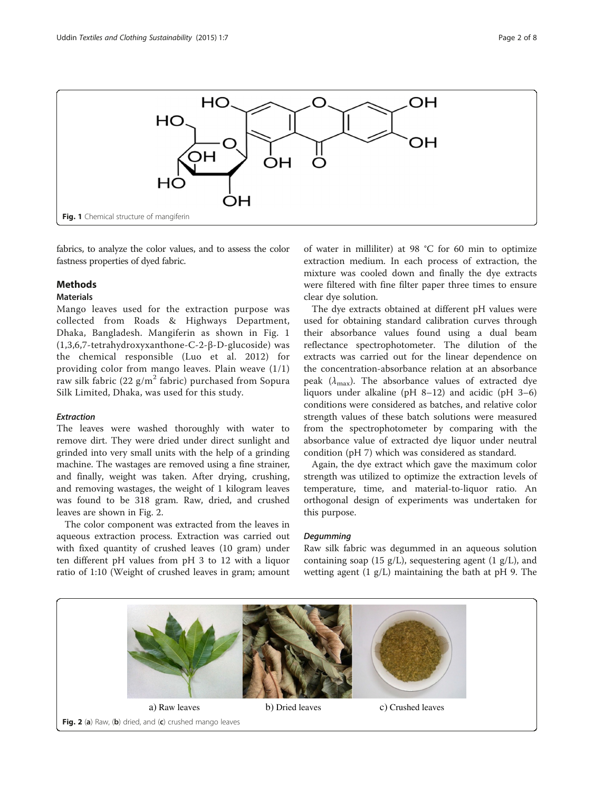

fabrics, to analyze the color values, and to assess the color fastness properties of dyed fabric.

## Methods

#### **Materials**

Mango leaves used for the extraction purpose was collected from Roads & Highways Department, Dhaka, Bangladesh. Mangiferin as shown in Fig. 1 (1,3,6,7-tetrahydroxyxanthone-C-2-β-D-glucoside) was the chemical responsible (Luo et al. [2012](#page-7-0)) for providing color from mango leaves. Plain weave (1/1) raw silk fabric (22 g/m<sup>2</sup> fabric) purchased from Sopura Silk Limited, Dhaka, was used for this study.

#### Extraction

The leaves were washed thoroughly with water to remove dirt. They were dried under direct sunlight and grinded into very small units with the help of a grinding machine. The wastages are removed using a fine strainer, and finally, weight was taken. After drying, crushing, and removing wastages, the weight of 1 kilogram leaves was found to be 318 gram. Raw, dried, and crushed leaves are shown in Fig. 2.

The color component was extracted from the leaves in aqueous extraction process. Extraction was carried out with fixed quantity of crushed leaves (10 gram) under ten different pH values from pH 3 to 12 with a liquor ratio of 1:10 (Weight of crushed leaves in gram; amount

of water in milliliter) at 98 °C for 60 min to optimize extraction medium. In each process of extraction, the mixture was cooled down and finally the dye extracts were filtered with fine filter paper three times to ensure clear dye solution.

The dye extracts obtained at different pH values were used for obtaining standard calibration curves through their absorbance values found using a dual beam reflectance spectrophotometer. The dilution of the extracts was carried out for the linear dependence on the concentration-absorbance relation at an absorbance peak ( $\lambda_{\text{max}}$ ). The absorbance values of extracted dye liquors under alkaline (pH 8–12) and acidic (pH 3–6) conditions were considered as batches, and relative color strength values of these batch solutions were measured from the spectrophotometer by comparing with the absorbance value of extracted dye liquor under neutral condition (pH 7) which was considered as standard.

Again, the dye extract which gave the maximum color strength was utilized to optimize the extraction levels of temperature, time, and material-to-liquor ratio. An orthogonal design of experiments was undertaken for this purpose.

#### Degumming

Raw silk fabric was degummed in an aqueous solution containing soap (15 g/L), sequestering agent (1 g/L), and wetting agent (1 g/L) maintaining the bath at pH 9. The

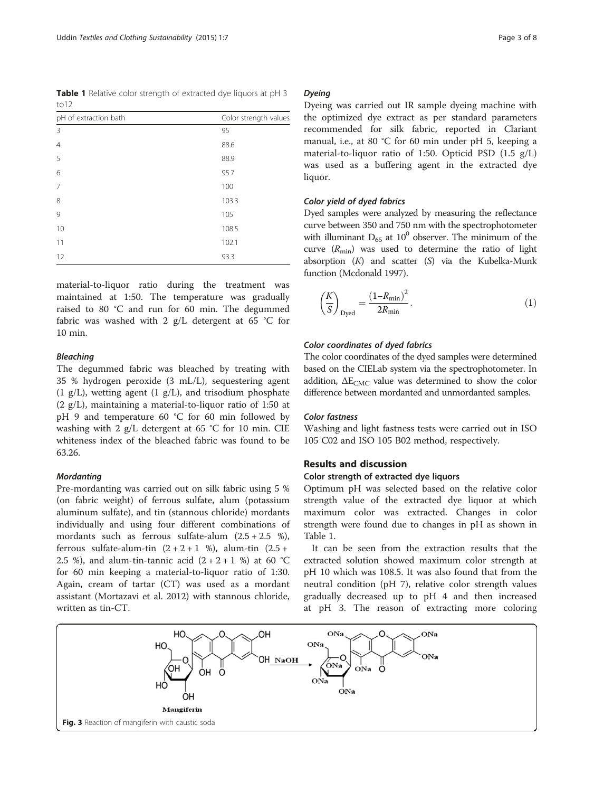<span id="page-2-0"></span>Table 1 Relative color strength of extracted dye liquors at pH 3  $t<sub>0</sub>12$ 

| pH of extraction bath | Color strength values |  |  |  |  |
|-----------------------|-----------------------|--|--|--|--|
| 3                     | 95                    |  |  |  |  |
| $\overline{4}$        | 88.6                  |  |  |  |  |
| 5                     | 88.9                  |  |  |  |  |
| 6                     | 95.7                  |  |  |  |  |
| 7                     | 100                   |  |  |  |  |
| 8                     | 103.3                 |  |  |  |  |
| 9                     | 105                   |  |  |  |  |
| 10                    | 108.5                 |  |  |  |  |
| 11                    | 102.1                 |  |  |  |  |
| 12                    | 93.3                  |  |  |  |  |

material-to-liquor ratio during the treatment was maintained at 1:50. The temperature was gradually raised to 80 °C and run for 60 min. The degummed fabric was washed with 2 g/L detergent at 65 °C for 10 min.

#### Bleaching

The degummed fabric was bleached by treating with 35 % hydrogen peroxide (3 mL/L), sequestering agent  $(1 \text{ g/L})$ , wetting agent  $(1 \text{ g/L})$ , and trisodium phosphate (2 g/L), maintaining a material-to-liquor ratio of 1:50 at pH 9 and temperature 60 °C for 60 min followed by washing with 2 g/L detergent at 65 °C for 10 min. CIE whiteness index of the bleached fabric was found to be 63.26.

### **Mordanting**

Pre-mordanting was carried out on silk fabric using 5 % (on fabric weight) of ferrous sulfate, alum (potassium aluminum sulfate), and tin (stannous chloride) mordants individually and using four different combinations of mordants such as ferrous sulfate-alum  $(2.5 + 2.5 \%)$ , ferrous sulfate-alum-tin  $(2 + 2 + 1 \%)$ , alum-tin  $(2.5 +$ 2.5 %), and alum-tin-tannic acid  $(2 + 2 + 1)$  %) at 60 °C for 60 min keeping a material-to-liquor ratio of 1:30. Again, cream of tartar (CT) was used as a mordant assistant (Mortazavi et al. [2012\)](#page-7-0) with stannous chloride, written as tin-CT.

## Dyeing

Dyeing was carried out IR sample dyeing machine with the optimized dye extract as per standard parameters recommended for silk fabric, reported in Clariant manual, i.e., at 80 °C for 60 min under pH 5, keeping a material-to-liquor ratio of 1:50. Opticid PSD (1.5 g/L) was used as a buffering agent in the extracted dye liquor.

## Color yield of dyed fabrics

Dyed samples were analyzed by measuring the reflectance curve between 350 and 750 nm with the spectrophotometer with illuminant  $D_{65}$  at  $10^0$  observer. The minimum of the curve  $(R_{\text{min}})$  was used to determine the ratio of light absorption  $(K)$  and scatter  $(S)$  via the Kubelka-Munk function (Mcdonald [1997](#page-7-0)).

$$
\left(\frac{K}{S}\right)_{\text{Dyed}} = \frac{\left(1 - R_{\text{min}}\right)^2}{2R_{\text{min}}}.\tag{1}
$$

#### Color coordinates of dyed fabrics

The color coordinates of the dyed samples were determined based on the CIELab system via the spectrophotometer. In addition,  $\Delta E_{CMC}$  value was determined to show the color difference between mordanted and unmordanted samples.

#### Color fastness

Washing and light fastness tests were carried out in ISO 105 C02 and ISO 105 B02 method, respectively.

## Results and discussion

## Color strength of extracted dye liquors

Optimum pH was selected based on the relative color strength value of the extracted dye liquor at which maximum color was extracted. Changes in color strength were found due to changes in pH as shown in Table 1.

It can be seen from the extraction results that the extracted solution showed maximum color strength at pH 10 which was 108.5. It was also found that from the neutral condition (pH 7), relative color strength values gradually decreased up to pH 4 and then increased at pH 3. The reason of extracting more coloring

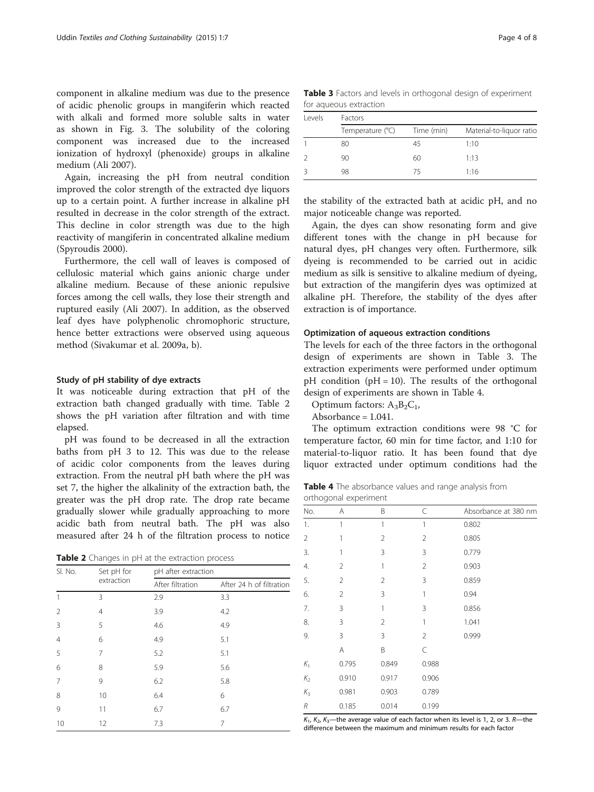<span id="page-3-0"></span>component in alkaline medium was due to the presence of acidic phenolic groups in mangiferin which reacted with alkali and formed more soluble salts in water as shown in Fig. [3](#page-2-0). The solubility of the coloring component was increased due to the increased ionization of hydroxyl (phenoxide) groups in alkaline medium (Ali [2007](#page-6-0)).

Again, increasing the pH from neutral condition improved the color strength of the extracted dye liquors up to a certain point. A further increase in alkaline pH resulted in decrease in the color strength of the extract. This decline in color strength was due to the high reactivity of mangiferin in concentrated alkaline medium (Spyroudis [2000\)](#page-7-0).

Furthermore, the cell wall of leaves is composed of cellulosic material which gains anionic charge under alkaline medium. Because of these anionic repulsive forces among the cell walls, they lose their strength and ruptured easily (Ali [2007](#page-6-0)). In addition, as the observed leaf dyes have polyphenolic chromophoric structure, hence better extractions were observed using aqueous method (Sivakumar et al. [2009a, b](#page-7-0)).

#### Study of pH stability of dye extracts

It was noticeable during extraction that pH of the extraction bath changed gradually with time. Table 2 shows the pH variation after filtration and with time elapsed.

pH was found to be decreased in all the extraction baths from pH 3 to 12. This was due to the release of acidic color components from the leaves during extraction. From the neutral pH bath where the pH was set 7, the higher the alkalinity of the extraction bath, the greater was the pH drop rate. The drop rate became gradually slower while gradually approaching to more acidic bath from neutral bath. The pH was also measured after 24 h of the filtration process to notice

Table 2 Changes in pH at the extraction process

| SI. No.        | Set pH for     | pH after extraction |                          |  |  |  |
|----------------|----------------|---------------------|--------------------------|--|--|--|
|                | extraction     | After filtration    | After 24 h of filtration |  |  |  |
| 1              | 3              | 2.9                 | 3.3                      |  |  |  |
| $\overline{2}$ | $\overline{4}$ | 3.9                 | 4.2                      |  |  |  |
| 3              | 5              | 4.6                 | 4.9                      |  |  |  |
| $\overline{4}$ | 6              | 4.9                 | 5.1                      |  |  |  |
| 5              | 7              | 5.2                 | 5.1                      |  |  |  |
| 6              | 8              | 5.9                 | 5.6                      |  |  |  |
| $\overline{7}$ | 9              | 6.2                 | 5.8                      |  |  |  |
| 8              | 10             | 6.4                 | 6                        |  |  |  |
| 9              | 11             | 6.7                 | 6.7                      |  |  |  |
| 10             | 12             | 7.3                 | 7                        |  |  |  |

Table 3 Factors and levels in orthogonal design of experiment for aqueous extraction

| Levels | <b>Factors</b>   |            |                          |  |  |  |  |
|--------|------------------|------------|--------------------------|--|--|--|--|
|        | Temperature (°C) | Time (min) | Material-to-liquor ratio |  |  |  |  |
|        | 80               | 45         | 1:10                     |  |  |  |  |
|        | 90               | 60         | 1:13                     |  |  |  |  |
|        | 98               | 75         | 1.16                     |  |  |  |  |

the stability of the extracted bath at acidic pH, and no major noticeable change was reported.

Again, the dyes can show resonating form and give different tones with the change in pH because for natural dyes, pH changes very often. Furthermore, silk dyeing is recommended to be carried out in acidic medium as silk is sensitive to alkaline medium of dyeing, but extraction of the mangiferin dyes was optimized at alkaline pH. Therefore, the stability of the dyes after extraction is of importance.

## Optimization of aqueous extraction conditions

The levels for each of the three factors in the orthogonal design of experiments are shown in Table 3. The extraction experiments were performed under optimum pH condition ( $pH = 10$ ). The results of the orthogonal design of experiments are shown in Table 4.

Optimum factors:  $A_3B_2C_1$ ,

Absorbance = 1.041.

The optimum extraction conditions were 98 °C for temperature factor, 60 min for time factor, and 1:10 for material-to-liquor ratio. It has been found that dye liquor extracted under optimum conditions had the

Table 4 The absorbance values and range analysis from orthogonal experiment

| No.            | Α              | B              | C              | Absorbance at 380 nm |
|----------------|----------------|----------------|----------------|----------------------|
| 1.             | 1              | 1              | 1              | 0.802                |
| $\overline{2}$ | 1              | $\overline{2}$ | $\overline{2}$ | 0.805                |
| 3.             | 1              | 3              | 3              | 0.779                |
| 4.             | $\overline{2}$ | 1              | $\overline{2}$ | 0.903                |
| 5.             | 2              | 2              | 3              | 0.859                |
| 6.             | $\overline{2}$ | 3              | 1              | 0.94                 |
| 7.             | 3              | 1              | 3              | 0.856                |
| 8.             | 3              | $\overline{2}$ | 1              | 1.041                |
| 9.             | 3              | 3              | $\overline{2}$ | 0.999                |
|                | Α              | B              | C              |                      |
| $K_1$          | 0.795          | 0.849          | 0.988          |                      |
| $K_2$          | 0.910          | 0.917          | 0.906          |                      |
| $K_3$          | 0.981          | 0.903          | 0.789          |                      |
| R              | 0.185          | 0.014          | 0.199          |                      |

 $K_1$ ,  $K_2$ ,  $K_3$ —the average value of each factor when its level is 1, 2, or 3. R—the difference between the maximum and minimum results for each factor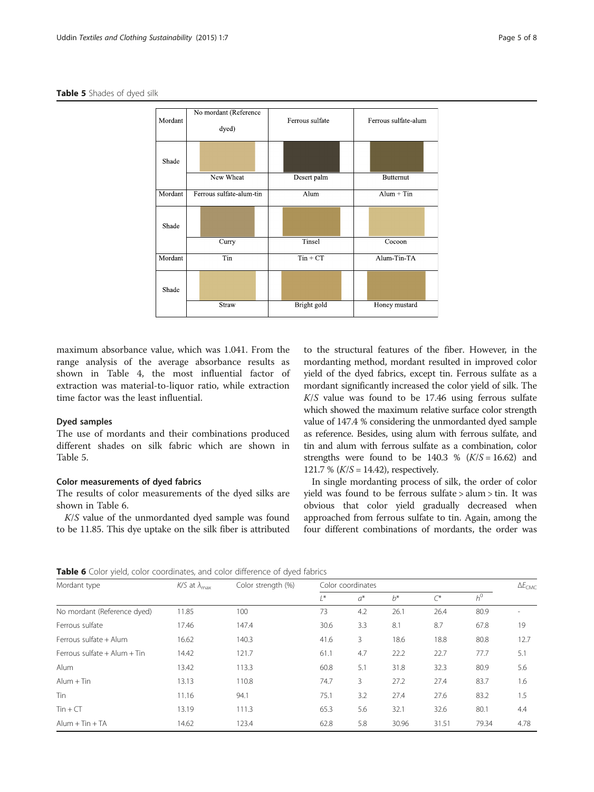#### <span id="page-4-0"></span>Table 5 Shades of dyed silk



maximum absorbance value, which was 1.041. From the range analysis of the average absorbance results as shown in Table [4](#page-3-0), the most influential factor of extraction was material-to-liquor ratio, while extraction time factor was the least influential.

## Dyed samples

The use of mordants and their combinations produced different shades on silk fabric which are shown in Table 5.

## Color measurements of dyed fabrics

The results of color measurements of the dyed silks are shown in Table 6.

K/S value of the unmordanted dyed sample was found to be 11.85. This dye uptake on the silk fiber is attributed

to the structural features of the fiber. However, in the mordanting method, mordant resulted in improved color yield of the dyed fabrics, except tin. Ferrous sulfate as a mordant significantly increased the color yield of silk. The  $K/S$  value was found to be 17.46 using ferrous sulfate which showed the maximum relative surface color strength value of 147.4 % considering the unmordanted dyed sample as reference. Besides, using alum with ferrous sulfate, and tin and alum with ferrous sulfate as a combination, color strengths were found to be  $140.3 \%$   $(K/S = 16.62)$  and 121.7 %  $(K/S = 14.42)$ , respectively.

In single mordanting process of silk, the order of color yield was found to be ferrous sulfate > alum > tin. It was obvious that color yield gradually decreased when approached from ferrous sulfate to tin. Again, among the four different combinations of mordants, the order was

Table 6 Color yield, color coordinates, and color difference of dyed fabrics

| Mordant type                     | $K/S$ at $\lambda_{\text{max}}$ | Color strength (%) | Color coordinates |       |       |          |       | $\Delta E_{CMC}$ |
|----------------------------------|---------------------------------|--------------------|-------------------|-------|-------|----------|-------|------------------|
|                                  |                                 |                    | $\prime^*$        | $a^*$ | $b^*$ | $\infty$ | $h^0$ |                  |
| No mordant (Reference dyed)      | 11.85                           | 100                | 73                | 4.2   | 26.1  | 26.4     | 80.9  |                  |
| Ferrous sulfate                  | 17.46                           | 147.4              | 30.6              | 3.3   | 8.1   | 8.7      | 67.8  | 19               |
| Ferrous sulfate + Alum           | 16.62                           | 140.3              | 41.6              | 3     | 18.6  | 18.8     | 80.8  | 12.7             |
| Ferrous sulfate $+$ Alum $+$ Tin | 14.42                           | 121.7              | 61.1              | 4.7   | 22.2  | 22.7     | 77.7  | 5.1              |
| Alum                             | 13.42                           | 113.3              | 60.8              | 5.1   | 31.8  | 32.3     | 80.9  | 5.6              |
| $Alum + Tin$                     | 13.13                           | 110.8              | 74.7              | 3     | 27.2  | 27.4     | 83.7  | 1.6              |
| Tin                              | 11.16                           | 94.1               | 75.1              | 3.2   | 27.4  | 27.6     | 83.2  | 1.5              |
| $T$ in + $CT$                    | 13.19                           | 111.3              | 65.3              | 5.6   | 32.1  | 32.6     | 80.1  | 4.4              |
| $Alum + Tin + TA$                | 14.62                           | 123.4              | 62.8              | 5.8   | 30.96 | 31.51    | 79.34 | 4.78             |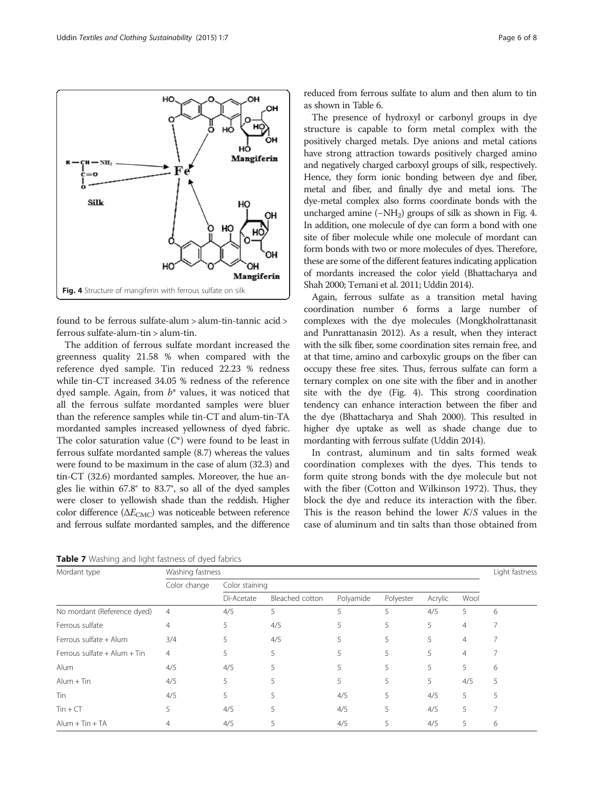

The addition of ferrous sulfate mordant increased the greenness quality 21.58 % when compared with the reference dyed sample. Tin reduced 22.23 % redness while tin-CT increased 34.05 % redness of the reference dyed sample. Again, from  $b^*$  values, it was noticed that all the ferrous sulfate mordanted samples were bluer than the reference samples while tin-CT and alum-tin-TA mordanted samples increased yellowness of dyed fabric. The color saturation value  $(C^*)$  were found to be least in ferrous sulfate mordanted sample (8.7) whereas the values were found to be maximum in the case of alum (32.3) and tin-CT (32.6) mordanted samples. Moreover, the hue angles lie within 67.8° to 83.7°, so all of the dyed samples were closer to yellowish shade than the reddish. Higher color difference ( $\Delta E_{\text{CMC}}$ ) was noticeable between reference and ferrous sulfate mordanted samples, and the difference

Table 7 Washing and light fastness of dyed fabrics

reduced from ferrous sulfate to alum and then alum to tin as shown in Table [6](#page-4-0).

The presence of hydroxyl or carbonyl groups in dye structure is capable to form metal complex with the positively charged metals. Dye anions and metal cations have strong attraction towards positively charged amino and negatively charged carboxyl groups of silk, respectively. Hence, they form ionic bonding between dye and fiber, metal and fiber, and finally dye and metal ions. The dye-metal complex also forms coordinate bonds with the uncharged amine  $(-NH<sub>2</sub>)$  groups of silk as shown in Fig. 4. In addition, one molecule of dye can form a bond with one site of fiber molecule while one molecule of mordant can form bonds with two or more molecules of dyes. Therefore, these are some of the different features indicating application of mordants increased the color yield (Bhattacharya and Shah [2000;](#page-6-0) Temani et al. [2011](#page-7-0); Uddin [2014\)](#page-7-0).

Again, ferrous sulfate as a transition metal having coordination number 6 forms a large number of complexes with the dye molecules (Mongkholrattanasit and Punrattanasin [2012](#page-7-0)). As a result, when they interact with the silk fiber, some coordination sites remain free, and at that time, amino and carboxylic groups on the fiber can occupy these free sites. Thus, ferrous sulfate can form a ternary complex on one site with the fiber and in another site with the dye (Fig. 4). This strong coordination tendency can enhance interaction between the fiber and the dye (Bhattacharya and Shah [2000](#page-6-0)). This resulted in higher dye uptake as well as shade change due to mordanting with ferrous sulfate (Uddin [2014\)](#page-7-0).

In contrast, aluminum and tin salts formed weak coordination complexes with the dyes. This tends to form quite strong bonds with the dye molecule but not with the fiber (Cotton and Wilkinson [1972](#page-6-0)). Thus, they block the dye and reduce its interaction with the fiber. This is the reason behind the lower  $K/S$  values in the case of aluminum and tin salts than those obtained from

| Mordant type                 | Washing fastness |                |                 |           |           |         |                | Light fastness |
|------------------------------|------------------|----------------|-----------------|-----------|-----------|---------|----------------|----------------|
|                              | Color change     | Color staining |                 |           |           |         |                |                |
|                              |                  | Di-Acetate     | Bleached cotton | Polyamide | Polyester | Acrylic | Wool           |                |
| No mordant (Reference dyed)  | $\overline{4}$   | 4/5            | 5               | 5         | 5         | 4/5     | 5              | 6              |
| Ferrous sulfate              | 4                | 5              | 4/5             |           | 5         | 5       | $\overline{4}$ |                |
| Ferrous sulfate + Alum       | 3/4              | 5              | 4/5             |           | 5         | 5       | $\overline{4}$ |                |
| Ferrous sulfate + Alum + Tin | $\overline{4}$   | C.             | 5               |           | 5         | 5       | $\overline{4}$ |                |
| Alum                         | 4/5              | 4/5            |                 |           | 5         | 5       | 5              | 6              |
| $Alum + Tin$                 | 4/5              | 5              |                 |           | 5         | 5       | 4/5            | 5              |
| Tin                          | 4/5              | 5              |                 | 4/5       | 5         | 4/5     | 5              | 5              |
| $T$ in + $CT$                | 5                | 4/5            |                 | 4/5       | 5         | 4/5     | 5              |                |
| $Alum + Tin + TA$            |                  | 4/5            |                 | 4/5       |           | 4/5     | 5              | 6              |

<span id="page-5-0"></span>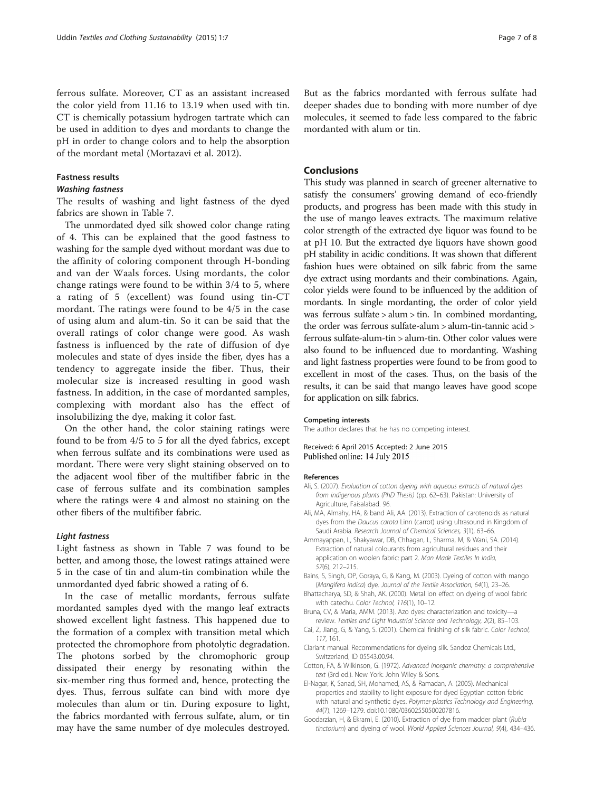<span id="page-6-0"></span>ferrous sulfate. Moreover, CT as an assistant increased the color yield from 11.16 to 13.19 when used with tin. CT is chemically potassium hydrogen tartrate which can be used in addition to dyes and mordants to change the pH in order to change colors and to help the absorption of the mordant metal (Mortazavi et al. [2012\)](#page-7-0).

#### Fastness results

## Washing fastness

The results of washing and light fastness of the dyed fabrics are shown in Table [7](#page-5-0).

The unmordated dyed silk showed color change rating of 4. This can be explained that the good fastness to washing for the sample dyed without mordant was due to the affinity of coloring component through H-bonding and van der Waals forces. Using mordants, the color change ratings were found to be within 3/4 to 5, where a rating of 5 (excellent) was found using tin-CT mordant. The ratings were found to be 4/5 in the case of using alum and alum-tin. So it can be said that the overall ratings of color change were good. As wash fastness is influenced by the rate of diffusion of dye molecules and state of dyes inside the fiber, dyes has a tendency to aggregate inside the fiber. Thus, their molecular size is increased resulting in good wash fastness. In addition, in the case of mordanted samples, complexing with mordant also has the effect of insolubilizing the dye, making it color fast.

On the other hand, the color staining ratings were found to be from 4/5 to 5 for all the dyed fabrics, except when ferrous sulfate and its combinations were used as mordant. There were very slight staining observed on to the adjacent wool fiber of the multifiber fabric in the case of ferrous sulfate and its combination samples where the ratings were 4 and almost no staining on the other fibers of the multifiber fabric.

## Light fastness

Light fastness as shown in Table [7](#page-5-0) was found to be better, and among those, the lowest ratings attained were 5 in the case of tin and alum-tin combination while the unmordanted dyed fabric showed a rating of 6.

In the case of metallic mordants, ferrous sulfate mordanted samples dyed with the mango leaf extracts showed excellent light fastness. This happened due to the formation of a complex with transition metal which protected the chromophore from photolytic degradation. The photons sorbed by the chromophoric group dissipated their energy by resonating within the six-member ring thus formed and, hence, protecting the dyes. Thus, ferrous sulfate can bind with more dye molecules than alum or tin. During exposure to light, the fabrics mordanted with ferrous sulfate, alum, or tin may have the same number of dye molecules destroyed. But as the fabrics mordanted with ferrous sulfate had deeper shades due to bonding with more number of dye molecules, it seemed to fade less compared to the fabric mordanted with alum or tin.

## Conclusions

This study was planned in search of greener alternative to satisfy the consumers' growing demand of eco-friendly products, and progress has been made with this study in the use of mango leaves extracts. The maximum relative color strength of the extracted dye liquor was found to be at pH 10. But the extracted dye liquors have shown good pH stability in acidic conditions. It was shown that different fashion hues were obtained on silk fabric from the same dye extract using mordants and their combinations. Again, color yields were found to be influenced by the addition of mordants. In single mordanting, the order of color yield was ferrous sulfate > alum > tin. In combined mordanting, the order was ferrous sulfate-alum > alum-tin-tannic acid > ferrous sulfate-alum-tin > alum-tin. Other color values were also found to be influenced due to mordanting. Washing and light fastness properties were found to be from good to excellent in most of the cases. Thus, on the basis of the results, it can be said that mango leaves have good scope for application on silk fabrics.

#### Competing interests

The author declares that he has no competing interest.

#### Received: 6 April 2015 Accepted: 2 June 2015 Published online: 14 July 2015

#### References

- Ali, S. (2007). Evaluation of cotton dyeing with aqueous extracts of natural dyes from indigenous plants (PhD Thesis) (pp. 62–63). Pakistan: University of Agriculture, Faisalabad. 96.
- Ali, MA, Almahy, HA, & band Ali, AA. (2013). Extraction of carotenoids as natural dyes from the Daucus carota Linn (carrot) using ultrasound in Kingdom of Saudi Arabia. Research Journal of Chemical Sciences, 3(1), 63–66.
- Ammayappan, L, Shakyawar, DB, Chhagan, L, Sharma, M, & Wani, SA. (2014). Extraction of natural colourants from agricultural residues and their application on woolen fabric: part 2. Man Made Textiles In India, 57(6), 212–215.
- Bains, S, Singh, OP, Goraya, G, & Kang, M. (2003). Dyeing of cotton with mango (Mangifera indica) dye. Journal of the Textile Association, 64(1), 23–26.
- Bhattacharya, SD, & Shah, AK. (2000). Metal ion effect on dyeing of wool fabric with catechu. Color Technol, 116(1), 10–12.
- Bruna, CV, & Maria, AMM. (2013). Azo dyes: characterization and toxicity—a review. Textiles and Light Industrial Science and Technology, 2(2), 85–103.
- Cai, Z, Jiang, G, & Yang, S. (2001). Chemical finishing of silk fabric. Color Technol, 117, 161.
- Clariant manual. Recommendations for dyeing silk. Sandoz Chemicals Ltd., Switzerland, ID 05543.00.94.
- Cotton, FA, & Wilkinson, G. (1972). Advanced inorganic chemistry: a comprehensive text (3rd ed.). New York: John Wiley & Sons.
- El-Nagar, K, Sanad, SH, Mohamed, AS, & Ramadan, A. (2005). Mechanical properties and stability to light exposure for dyed Egyptian cotton fabric with natural and synthetic dyes. Polymer-plastics Technology and Engineering, 44(7), 1269–1279. doi[:10.1080/03602550500207816](http://dx.doi.org/10.1080/03602550500207816).
- Goodarzian, H, & Ekrami, E. (2010). Extraction of dye from madder plant (Rubia tinctorium) and dyeing of wool. World Applied Sciences Journal, 9(4), 434–436.